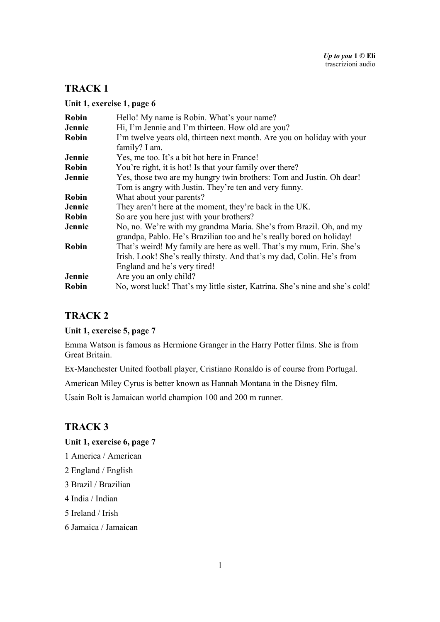#### **Unit 1, exercise 1, page 6**

| <b>Robin</b> | Hello! My name is Robin. What's your name?                                                                                                                                     |
|--------------|--------------------------------------------------------------------------------------------------------------------------------------------------------------------------------|
| Jennie       | Hi, I'm Jennie and I'm thirteen. How old are you?                                                                                                                              |
| <b>Robin</b> | I'm twelve years old, thirteen next month. Are you on holiday with your<br>family? I am.                                                                                       |
| Jennie       | Yes, me too. It's a bit hot here in France!                                                                                                                                    |
| <b>Robin</b> | You're right, it is hot! Is that your family over there?                                                                                                                       |
| Jennie       | Yes, those two are my hungry twin brothers: Tom and Justin. Oh dear!                                                                                                           |
|              | Tom is angry with Justin. They're ten and very funny.                                                                                                                          |
| <b>Robin</b> | What about your parents?                                                                                                                                                       |
| Jennie       | They aren't here at the moment, they're back in the UK.                                                                                                                        |
| <b>Robin</b> | So are you here just with your brothers?                                                                                                                                       |
| Jennie       | No, no. We're with my grandma Maria. She's from Brazil. Oh, and my<br>grandpa, Pablo. He's Brazilian too and he's really bored on holiday!                                     |
| <b>Robin</b> | That's weird! My family are here as well. That's my mum, Erin. She's<br>Irish. Look! She's really thirsty. And that's my dad, Colin. He's from<br>England and he's very tired! |
| Jennie       | Are you an only child?                                                                                                                                                         |
| Robin        | No, worst luck! That's my little sister, Katrina. She's nine and she's cold!                                                                                                   |

### **TRACK 2**

#### **Unit 1, exercise 5, page 7**

Emma Watson is famous as Hermione Granger in the Harry Potter films. She is from Great Britain.

Ex-Manchester United football player, Cristiano Ronaldo is of course from Portugal.

American Miley Cyrus is better known as Hannah Montana in the Disney film.

Usain Bolt is Jamaican world champion 100 and 200 m runner.

### **TRACK 3**

#### **Unit 1, exercise 6, page 7**

- 1 America / American
- 2 England / English
- 3 Brazil / Brazilian
- 4 India / Indian
- 5 Ireland / Irish
- 6 Jamaica / Jamaican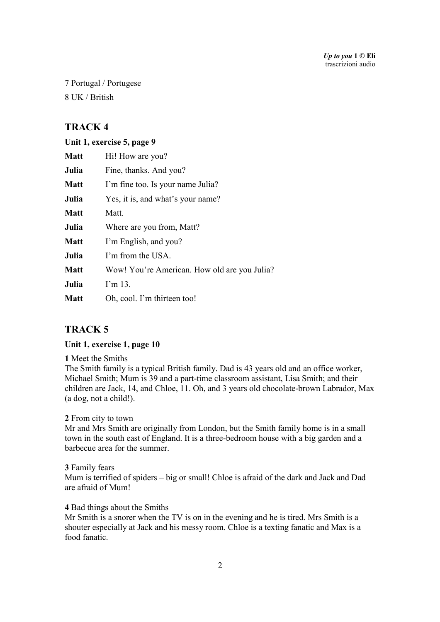7 Portugal / Portugese 8 UK / British

# **TRACK 4**

#### **Unit 1, exercise 5, page 9**

| <b>Matt</b> | Hi! How are you?                             |
|-------------|----------------------------------------------|
| Julia       | Fine, thanks. And you?                       |
| <b>Matt</b> | I'm fine too. Is your name Julia?            |
| Julia       | Yes, it is, and what's your name?            |
| <b>Matt</b> | Matt.                                        |
| Julia       | Where are you from, Matt?                    |
| <b>Matt</b> | I'm English, and you?                        |
| Julia       | I'm from the USA.                            |
| <b>Matt</b> | Wow! You're American. How old are you Julia? |
| Julia       | $\Gamma$ m 13.                               |
| <b>Matt</b> | Oh, cool. I'm thirteen too!                  |

# **TRACK 5**

#### **Unit 1, exercise 1, page 10**

#### **1** Meet the Smiths

The Smith family is a typical British family. Dad is 43 years old and an office worker, Michael Smith; Mum is 39 and a part-time classroom assistant, Lisa Smith; and their children are Jack, 14, and Chloe, 11. Oh, and 3 years old chocolate-brown Labrador, Max (a dog, not a child!).

#### **2** From city to town

Mr and Mrs Smith are originally from London, but the Smith family home is in a small town in the south east of England. It is a three-bedroom house with a big garden and a barbecue area for the summer.

#### **3** Family fears

Mum is terrified of spiders – big or small! Chloe is afraid of the dark and Jack and Dad are afraid of Mum!

#### **4** Bad things about the Smiths

Mr Smith is a snorer when the TV is on in the evening and he is tired. Mrs Smith is a shouter especially at Jack and his messy room. Chloe is a texting fanatic and Max is a food fanatic.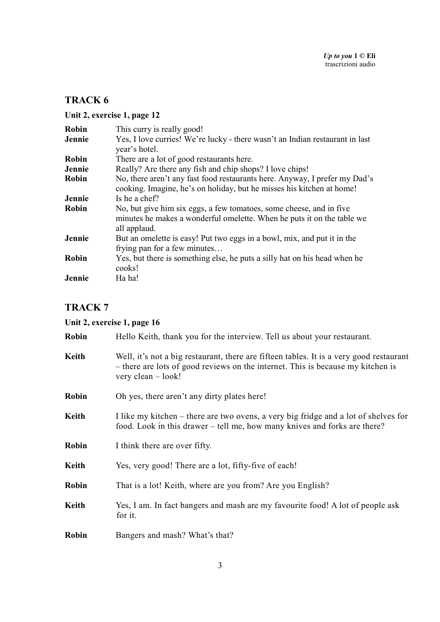# **Unit 2, exercise 1, page 12**

| <b>Robin</b> | This curry is really good!                                                                                                                                    |
|--------------|---------------------------------------------------------------------------------------------------------------------------------------------------------------|
| Jennie       | Yes, I love curries! We're lucky - there wasn't an Indian restaurant in last<br>year's hotel.                                                                 |
| <b>Robin</b> | There are a lot of good restaurants here.                                                                                                                     |
| Jennie       | Really? Are there any fish and chip shops? I love chips!                                                                                                      |
| <b>Robin</b> | No, there aren't any fast food restaurants here. Anyway, I prefer my Dad's<br>cooking. Imagine, he's on holiday, but he misses his kitchen at home!           |
| Jennie       | Is he a chef?                                                                                                                                                 |
| <b>Robin</b> | No, but give him six eggs, a few tomatoes, some cheese, and in five<br>minutes he makes a wonderful omelette. When he puts it on the table we<br>all applaud. |
| Jennie       | But an omelette is easy! Put two eggs in a bowl, mix, and put it in the<br>frying pan for a few minutes                                                       |
| Robin        | Yes, but there is something else, he puts a silly hat on his head when he<br>cooks!                                                                           |
| Jennie       | Ha ha!                                                                                                                                                        |

# **TRACK 7**

# **Unit 2, exercise 1, page 16**

| <b>Robin</b> | Hello Keith, thank you for the interview. Tell us about your restaurant.                                                                                                                           |
|--------------|----------------------------------------------------------------------------------------------------------------------------------------------------------------------------------------------------|
| Keith        | Well, it's not a big restaurant, there are fifteen tables. It is a very good restaurant<br>- there are lots of good reviews on the internet. This is because my kitchen is<br>very clean $-$ look! |
| Robin        | Oh yes, there aren't any dirty plates here!                                                                                                                                                        |
| Keith        | I like my kitchen – there are two ovens, a very big fridge and a lot of shelves for<br>food. Look in this drawer – tell me, how many knives and forks are there?                                   |
| Robin        | I think there are over fifty.                                                                                                                                                                      |
| Keith        | Yes, very good! There are a lot, fifty-five of each!                                                                                                                                               |
| Robin        | That is a lot! Keith, where are you from? Are you English?                                                                                                                                         |
| Keith        | Yes, I am. In fact bangers and mash are my favourite food! A lot of people ask<br>for it.                                                                                                          |
| <b>Robin</b> | Bangers and mash? What's that?                                                                                                                                                                     |
|              |                                                                                                                                                                                                    |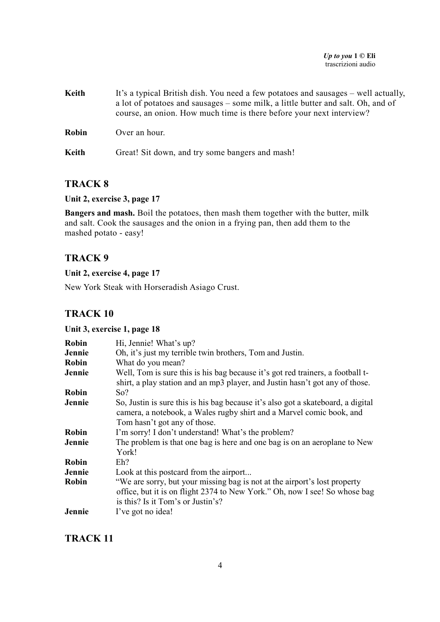#### *Up to you* **1 © Eli**  trascrizioni audio

| Keith        | It's a typical British dish. You need a few potatoes and sausages – well actually,<br>a lot of potatoes and sausages – some milk, a little butter and salt. Oh, and of<br>course, an onion. How much time is there before your next interview? |
|--------------|------------------------------------------------------------------------------------------------------------------------------------------------------------------------------------------------------------------------------------------------|
| <b>Robin</b> | Over an hour.                                                                                                                                                                                                                                  |
| Keith        | Great! Sit down, and try some bangers and mash!                                                                                                                                                                                                |

### **TRACK 8**

#### **Unit 2, exercise 3, page 17**

**Bangers and mash.** Boil the potatoes, then mash them together with the butter, milk and salt. Cook the sausages and the onion in a frying pan, then add them to the mashed potato - easy!

## **TRACK 9**

## **Unit 2, exercise 4, page 17**

New York Steak with Horseradish Asiago Crust.

### **TRACK 10**

#### **Unit 3, exercise 1, page 18**

| <b>Robin</b> | Hi, Jennie! What's up?                                                                                                                                                                       |
|--------------|----------------------------------------------------------------------------------------------------------------------------------------------------------------------------------------------|
| Jennie       | Oh, it's just my terrible twin brothers, Tom and Justin.                                                                                                                                     |
| <b>Robin</b> | What do you mean?                                                                                                                                                                            |
| Jennie       | Well, Tom is sure this is his bag because it's got red trainers, a football t-<br>shirt, a play station and an mp3 player, and Justin hasn't got any of those.                               |
| Robin        | So?                                                                                                                                                                                          |
| Jennie       | So, Justin is sure this is his bag because it's also got a skateboard, a digital<br>camera, a notebook, a Wales rugby shirt and a Marvel comic book, and<br>Tom hasn't got any of those.     |
| <b>Robin</b> | I'm sorry! I don't understand! What's the problem?                                                                                                                                           |
| Jennie       | The problem is that one bag is here and one bag is on an aeroplane to New<br>York!                                                                                                           |
| <b>Robin</b> | $Eh$ ?                                                                                                                                                                                       |
| Jennie       | Look at this postcard from the airport                                                                                                                                                       |
| <b>Robin</b> | "We are sorry, but your missing bag is not at the airport's lost property<br>office, but it is on flight 2374 to New York." Oh, now I see! So whose bag<br>is this? Is it Tom's or Justin's? |
| Jennie       | I've got no idea!                                                                                                                                                                            |

### **TRACK 11**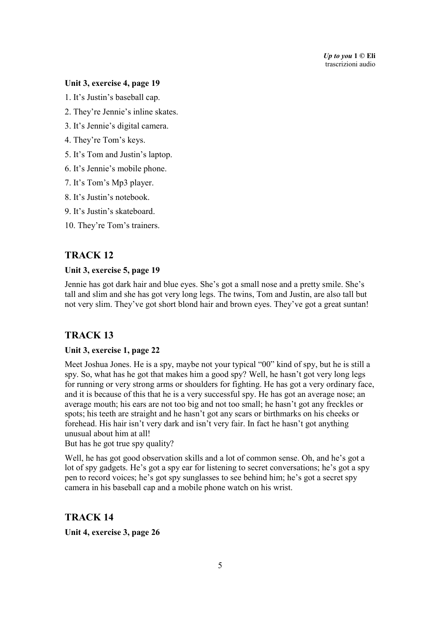*Up to you* **1 © Eli**  trascrizioni audio

#### **Unit 3, exercise 4, page 19**

1. It's Justin's baseball cap.

- 2. They're Jennie's inline skates.
- 3. It's Jennie's digital camera.
- 4. They're Tom's keys.
- 5. It's Tom and Justin's laptop.
- 6. It's Jennie's mobile phone.
- 7. It's Tom's Mp3 player.
- 8. It's Justin's notebook.
- 9. It's Justin's skateboard.
- 10. They're Tom's trainers.

### **TRACK 12**

#### **Unit 3, exercise 5, page 19**

Jennie has got dark hair and blue eyes. She's got a small nose and a pretty smile. She's tall and slim and she has got very long legs. The twins, Tom and Justin, are also tall but not very slim. They've got short blond hair and brown eyes. They've got a great suntan!

### **TRACK 13**

#### **Unit 3, exercise 1, page 22**

Meet Joshua Jones. He is a spy, maybe not your typical "00" kind of spy, but he is still a spy. So, what has he got that makes him a good spy? Well, he hasn't got very long legs for running or very strong arms or shoulders for fighting. He has got a very ordinary face, and it is because of this that he is a very successful spy. He has got an average nose; an average mouth; his ears are not too big and not too small; he hasn't got any freckles or spots; his teeth are straight and he hasn't got any scars or birthmarks on his cheeks or forehead. His hair isn't very dark and isn't very fair. In fact he hasn't got anything unusual about him at all!

But has he got true spy quality?

Well, he has got good observation skills and a lot of common sense. Oh, and he's got a lot of spy gadgets. He's got a spy ear for listening to secret conversations; he's got a spy pen to record voices; he's got spy sunglasses to see behind him; he's got a secret spy camera in his baseball cap and a mobile phone watch on his wrist.

**TRACK 14 Unit 4, exercise 3, page 26**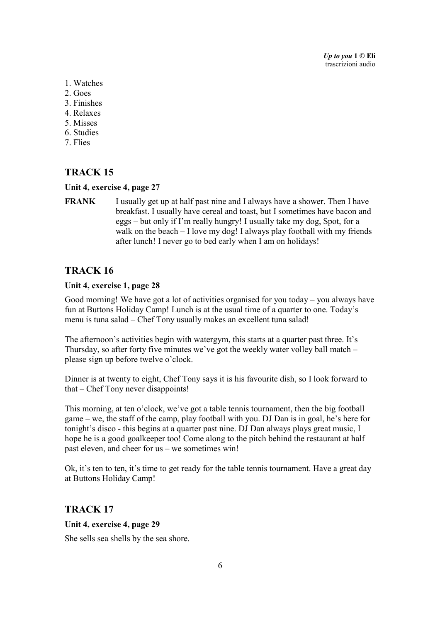*Up to you* **1 © Eli**  trascrizioni audio

- 1. Watches
- 2. Goes
- 3. Finishes
- 4. Relaxes
- 5. Misses
- 6. Studies
- 7. Flies

### **TRACK 15**

#### **Unit 4, exercise 4, page 27**

**FRANK** I usually get up at half past nine and I always have a shower. Then I have breakfast. I usually have cereal and toast, but I sometimes have bacon and eggs – but only if I'm really hungry! I usually take my dog, Spot, for a walk on the beach – I love my dog! I always play football with my friends after lunch! I never go to bed early when I am on holidays!

## **TRACK 16**

#### **Unit 4, exercise 1, page 28**

Good morning! We have got a lot of activities organised for you today – you always have fun at Buttons Holiday Camp! Lunch is at the usual time of a quarter to one. Today's menu is tuna salad – Chef Tony usually makes an excellent tuna salad!

The afternoon's activities begin with watergym, this starts at a quarter past three. It's Thursday, so after forty five minutes we've got the weekly water volley ball match – please sign up before twelve o'clock.

Dinner is at twenty to eight, Chef Tony says it is his favourite dish, so I look forward to that – Chef Tony never disappoints!

This morning, at ten o'clock, we've got a table tennis tournament, then the big football game – we, the staff of the camp, play football with you. DJ Dan is in goal, he's here for tonight's disco - this begins at a quarter past nine. DJ Dan always plays great music, I hope he is a good goalkeeper too! Come along to the pitch behind the restaurant at half past eleven, and cheer for us – we sometimes win!

Ok, it's ten to ten, it's time to get ready for the table tennis tournament. Have a great day at Buttons Holiday Camp!

#### **TRACK 17**

#### **Unit 4, exercise 4, page 29**

She sells sea shells by the sea shore.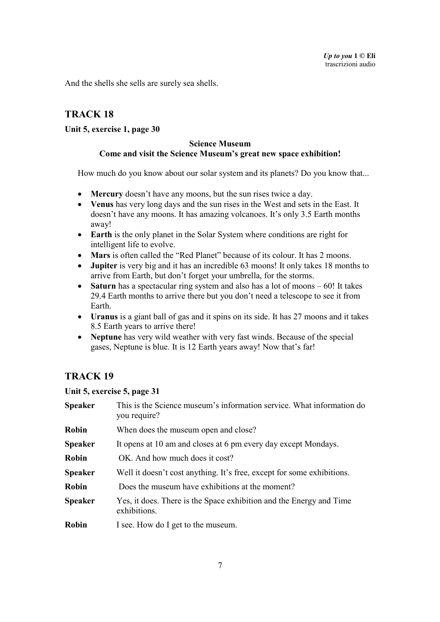And the shells she sells are surely sea shells.

# **TRACK 18**

#### **Unit 5, exercise 1, page 30**

#### **Science Museum Come and visit the Science Museum's great new space exhibition!**

How much do you know about our solar system and its planets? Do you know that...

- **Mercury** doesn't have any moons, but the sun rises twice a day.
- **Venus** has very long days and the sun rises in the West and sets in the East. It doesn't have any moons. It has amazing volcanoes. It's only 3.5 Earth months away!
- **Earth** is the only planet in the Solar System where conditions are right for intelligent life to evolve.
- **Mars** is often called the "Red Planet" because of its colour. It has 2 moons.
- **Jupiter** is very big and it has an incredible 63 moons! It only takes 18 months to arrive from Earth, but don't forget your umbrella, for the storms.
- **Saturn** has a spectacular ring system and also has a lot of moons 60! It takes 29.4 Earth months to arrive there but you don't need a telescope to see it from Earth.
- **Uranus** is a giant ball of gas and it spins on its side. It has 27 moons and it takes 8.5 Earth years to arrive there!
- **Neptune** has very wild weather with very fast winds. Because of the special gases, Neptune is blue. It is 12 Earth years away! Now that's far!

# **TRACK 19**

#### **Unit 5, exercise 5, page 31**

| <b>Speaker</b> | This is the Science museum's information service. What information do<br>you require? |
|----------------|---------------------------------------------------------------------------------------|
| <b>Robin</b>   | When does the museum open and close?                                                  |
| <b>Speaker</b> | It opens at 10 am and closes at 6 pm every day except Mondays.                        |
| <b>Robin</b>   | OK. And how much does it cost?                                                        |
| <b>Speaker</b> | Well it doesn't cost anything. It's free, except for some exhibitions.                |
| Robin          | Does the museum have exhibitions at the moment?                                       |
| <b>Speaker</b> | Yes, it does. There is the Space exhibition and the Energy and Time<br>exhibitions.   |
| <b>Robin</b>   | I see. How do I get to the museum.                                                    |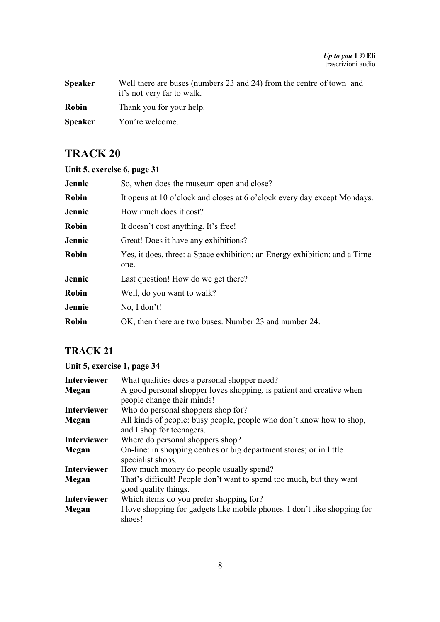| <b>Speaker</b> | Well there are buses (numbers 23 and 24) from the centre of town and<br>it's not very far to walk. |
|----------------|----------------------------------------------------------------------------------------------------|
| Robin          | Thank you for your help.                                                                           |
| <b>Speaker</b> | You're welcome.                                                                                    |

|  | Unit 5, exercise 6, page 31 |  |  |  |
|--|-----------------------------|--|--|--|
|--|-----------------------------|--|--|--|

| Jennie       | So, when does the museum open and close?                                          |
|--------------|-----------------------------------------------------------------------------------|
| <b>Robin</b> | It opens at 10 o'clock and closes at 6 o'clock every day except Mondays.          |
| Jennie       | How much does it cost?                                                            |
| <b>Robin</b> | It doesn't cost anything. It's free!                                              |
| Jennie       | Great! Does it have any exhibitions?                                              |
| <b>Robin</b> | Yes, it does, three: a Space exhibition; an Energy exhibition: and a Time<br>one. |
| Jennie       | Last question! How do we get there?                                               |
| <b>Robin</b> | Well, do you want to walk?                                                        |
| Jennie       | No, I don't!                                                                      |
| Robin        | OK, then there are two buses. Number 23 and number 24.                            |

# **TRACK 21**

# **Unit 5, exercise 1, page 34**

| <b>Interviewer</b> | What qualities does a personal shopper need?                                                 |
|--------------------|----------------------------------------------------------------------------------------------|
| Megan              | A good personal shopper loves shopping, is patient and creative when                         |
|                    | people change their minds!                                                                   |
| <b>Interviewer</b> | Who do personal shoppers shop for?                                                           |
| Megan              | All kinds of people: busy people, people who don't know how to shop,                         |
|                    | and I shop for teenagers.                                                                    |
| <b>Interviewer</b> | Where do personal shoppers shop?                                                             |
| Megan              | On-line: in shopping centres or big department stores; or in little<br>specialist shops.     |
| <b>Interviewer</b> | How much money do people usually spend?                                                      |
| Megan              | That's difficult! People don't want to spend too much, but they want<br>good quality things. |
| <b>Interviewer</b> | Which items do you prefer shopping for?                                                      |
| Megan              | I love shopping for gadgets like mobile phones. I don't like shopping for<br>shoes!          |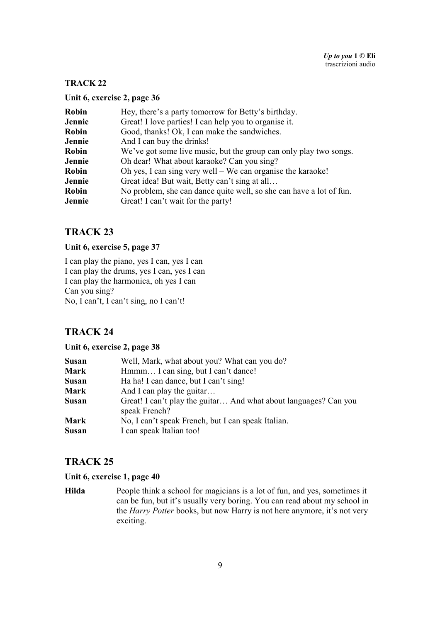#### **Unit 6, exercise 2, page 36**

| Robin        | Hey, there's a party tomorrow for Betty's birthday.                 |
|--------------|---------------------------------------------------------------------|
| Jennie       | Great! I love parties! I can help you to organise it.               |
| <b>Robin</b> | Good, thanks! Ok, I can make the sandwiches.                        |
| Jennie       | And I can buy the drinks!                                           |
| Robin        | We've got some live music, but the group can only play two songs.   |
| Jennie       | Oh dear! What about karaoke? Can you sing?                          |
| <b>Robin</b> | Oh yes, I can sing very well – We can organise the karaoke!         |
| Jennie       | Great idea! But wait, Betty can't sing at all                       |
| Robin        | No problem, she can dance quite well, so she can have a lot of fun. |
| Jennie       | Great! I can't wait for the party!                                  |

# **TRACK 23**

#### **Unit 6, exercise 5, page 37**

I can play the piano, yes I can, yes I can I can play the drums, yes I can, yes I can I can play the harmonica, oh yes I can Can you sing? No, I can't, I can't sing, no I can't!

### **TRACK 24**

#### **Unit 6, exercise 2, page 38**

| <b>Susan</b> | Well, Mark, what about you? What can you do?                                      |
|--------------|-----------------------------------------------------------------------------------|
| <b>Mark</b>  | Hmmm I can sing, but I can't dance!                                               |
| <b>Susan</b> | Ha ha! I can dance, but I can't sing!                                             |
| <b>Mark</b>  | And I can play the guitar                                                         |
| <b>Susan</b> | Great! I can't play the guitar And what about languages? Can you<br>speak French? |
| <b>Mark</b>  | No, I can't speak French, but I can speak Italian.                                |
| <b>Susan</b> | I can speak Italian too!                                                          |

### **TRACK 25**

#### **Unit 6, exercise 1, page 40**

**Hilda** People think a school for magicians is a lot of fun, and yes, sometimes it can be fun, but it's usually very boring. You can read about my school in the *Harry Potter* books, but now Harry is not here anymore, it's not very exciting.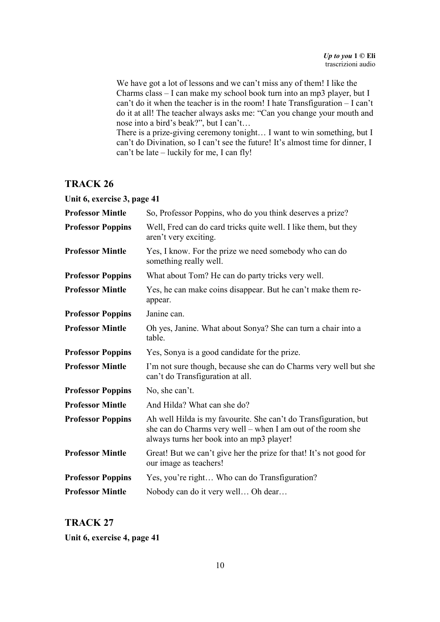We have got a lot of lessons and we can't miss any of them! I like the Charms class – I can make my school book turn into an mp3 player, but I can't do it when the teacher is in the room! I hate Transfiguration – I can't do it at all! The teacher always asks me: "Can you change your mouth and nose into a bird's beak?", but I can't…

There is a prize-giving ceremony tonight… I want to win something, but I can't do Divination, so I can't see the future! It's almost time for dinner, I can't be late – luckily for me, I can fly!

### **TRACK 26**

| Unit 6, exercise 3, page 41 |                                                                                                                                                                              |
|-----------------------------|------------------------------------------------------------------------------------------------------------------------------------------------------------------------------|
| <b>Professor Mintle</b>     | So, Professor Poppins, who do you think deserves a prize?                                                                                                                    |
| <b>Professor Poppins</b>    | Well, Fred can do card tricks quite well. I like them, but they<br>aren't very exciting.                                                                                     |
| <b>Professor Mintle</b>     | Yes, I know. For the prize we need somebody who can do<br>something really well.                                                                                             |
| <b>Professor Poppins</b>    | What about Tom? He can do party tricks very well.                                                                                                                            |
| <b>Professor Mintle</b>     | Yes, he can make coins disappear. But he can't make them re-<br>appear.                                                                                                      |
| <b>Professor Poppins</b>    | Janine can.                                                                                                                                                                  |
| <b>Professor Mintle</b>     | Oh yes, Janine. What about Sonya? She can turn a chair into a<br>table.                                                                                                      |
| <b>Professor Poppins</b>    | Yes, Sonya is a good candidate for the prize.                                                                                                                                |
| <b>Professor Mintle</b>     | I'm not sure though, because she can do Charms very well but she<br>can't do Transfiguration at all.                                                                         |
| <b>Professor Poppins</b>    | No, she can't.                                                                                                                                                               |
| <b>Professor Mintle</b>     | And Hilda? What can she do?                                                                                                                                                  |
| <b>Professor Poppins</b>    | Ah well Hilda is my favourite. She can't do Transfiguration, but<br>she can do Charms very well – when I am out of the room she<br>always turns her book into an mp3 player! |
| <b>Professor Mintle</b>     | Great! But we can't give her the prize for that! It's not good for<br>our image as teachers!                                                                                 |
| <b>Professor Poppins</b>    | Yes, you're right Who can do Transfiguration?                                                                                                                                |
| <b>Professor Mintle</b>     | Nobody can do it very well Oh dear                                                                                                                                           |

# **TRACK 27 Unit 6, exercise 4, page 41**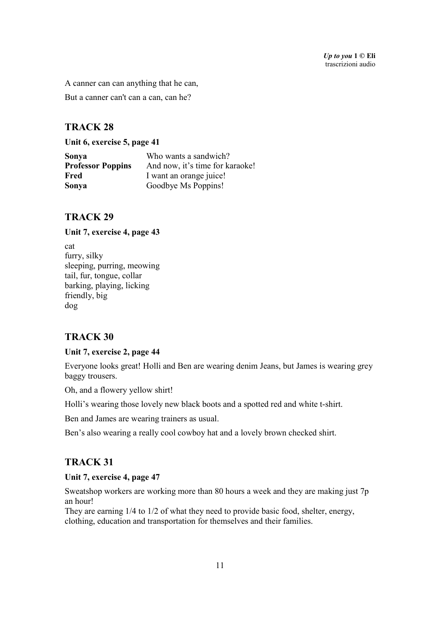A canner can can anything that he can,

But a canner can't can a can, can he?

# **TRACK 28**

**Unit 6, exercise 5, page 41** 

| Sonya                    | Who wants a sandwich?           |
|--------------------------|---------------------------------|
| <b>Professor Poppins</b> | And now, it's time for karaoke! |
| Fred                     | I want an orange juice!         |
| Sonya                    | Goodbye Ms Poppins!             |

### **TRACK 29**

#### **Unit 7, exercise 4, page 43**

cat furry, silky sleeping, purring, meowing tail, fur, tongue, collar barking, playing, licking friendly, big dog

### **TRACK 30**

#### **Unit 7, exercise 2, page 44**

Everyone looks great! Holli and Ben are wearing denim Jeans, but James is wearing grey baggy trousers.

Oh, and a flowery yellow shirt!

Holli's wearing those lovely new black boots and a spotted red and white t-shirt.

Ben and James are wearing trainers as usual.

Ben's also wearing a really cool cowboy hat and a lovely brown checked shirt.

### **TRACK 31**

#### **Unit 7, exercise 4, page 47**

Sweatshop workers are working more than 80 hours a week and they are making just 7p an hour!

They are earning 1/4 to 1/2 of what they need to provide basic food, shelter, energy, clothing, education and transportation for themselves and their families.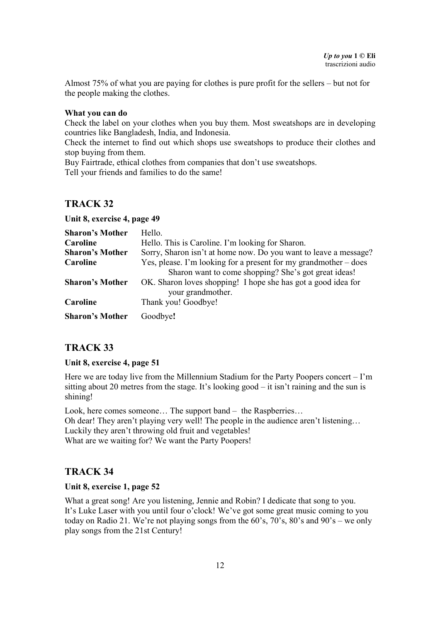Almost 75% of what you are paying for clothes is pure profit for the sellers – but not for the people making the clothes.

#### **What you can do**

Check the label on your clothes when you buy them. Most sweatshops are in developing countries like Bangladesh, India, and Indonesia.

Check the internet to find out which shops use sweatshops to produce their clothes and stop buying from them.

Buy Fairtrade, ethical clothes from companies that don't use sweatshops.

Tell your friends and families to do the same!

### **TRACK 32**

**Unit 8, exercise 4, page 49** 

| <b>Sharon's Mother</b> | Hello.                                                                             |
|------------------------|------------------------------------------------------------------------------------|
| Caroline               | Hello. This is Caroline. I'm looking for Sharon.                                   |
| <b>Sharon's Mother</b> | Sorry, Sharon isn't at home now. Do you want to leave a message?                   |
| Caroline               | Yes, please. I'm looking for a present for my grandmother – does                   |
|                        | Sharon want to come shopping? She's got great ideas!                               |
| <b>Sharon's Mother</b> | OK. Sharon loves shopping! I hope she has got a good idea for<br>your grandmother. |
| Caroline               | Thank you! Goodbye!                                                                |
| <b>Sharon's Mother</b> | Goodbye!                                                                           |

# **TRACK 33**

#### **Unit 8, exercise 4, page 51**

Here we are today live from the Millennium Stadium for the Party Poopers concert – I'm sitting about 20 metres from the stage. It's looking good – it isn't raining and the sun is shining!

Look, here comes someone... The support band – the Raspberries... Oh dear! They aren't playing very well! The people in the audience aren't listening… Luckily they aren't throwing old fruit and vegetables! What are we waiting for? We want the Party Poopers!

### **TRACK 34**

#### **Unit 8, exercise 1, page 52**

What a great song! Are you listening, Jennie and Robin? I dedicate that song to you. It's Luke Laser with you until four o'clock! We've got some great music coming to you today on Radio 21. We're not playing songs from the 60's, 70's, 80's and 90's – we only play songs from the 21st Century!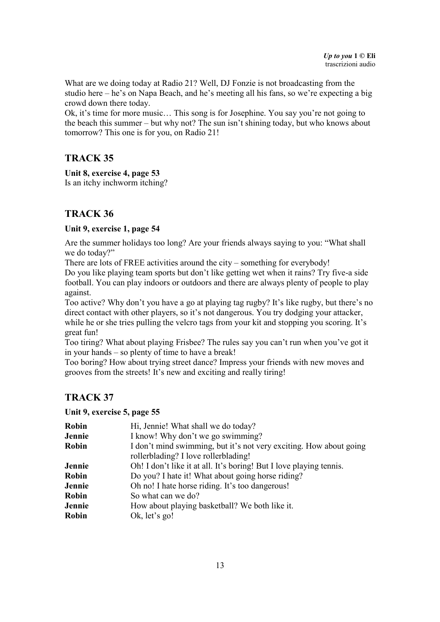What are we doing today at Radio 21? Well, DJ Fonzie is not broadcasting from the studio here – he's on Napa Beach, and he's meeting all his fans, so we're expecting a big crowd down there today.

Ok, it's time for more music… This song is for Josephine. You say you're not going to the beach this summer – but why not? The sun isn't shining today, but who knows about tomorrow? This one is for you, on Radio 21!

## **TRACK 35**

**Unit 8, exercise 4, page 53**  Is an itchy inchworm itching?

# **TRACK 36**

#### **Unit 9, exercise 1, page 54**

Are the summer holidays too long? Are your friends always saying to you: "What shall we do today?"

There are lots of FREE activities around the city – something for everybody!

Do you like playing team sports but don't like getting wet when it rains? Try five-a side football. You can play indoors or outdoors and there are always plenty of people to play against.

Too active? Why don't you have a go at playing tag rugby? It's like rugby, but there's no direct contact with other players, so it's not dangerous. You try dodging your attacker, while he or she tries pulling the velcro tags from your kit and stopping you scoring. It's great fun!

Too tiring? What about playing Frisbee? The rules say you can't run when you've got it in your hands – so plenty of time to have a break!

Too boring? How about trying street dance? Impress your friends with new moves and grooves from the streets! It's new and exciting and really tiring!

# **TRACK 37**

#### **Unit 9, exercise 5, page 55**

| Robin        | Hi, Jennie! What shall we do today?                                 |
|--------------|---------------------------------------------------------------------|
| Jennie       | I know! Why don't we go swimming?                                   |
| Robin        | I don't mind swimming, but it's not very exciting. How about going  |
|              | rollerblading? I love rollerblading!                                |
| Jennie       | Oh! I don't like it at all. It's boring! But I love playing tennis. |
| <b>Robin</b> | Do you? I hate it! What about going horse riding?                   |
| Jennie       | Oh no! I hate horse riding. It's too dangerous!                     |
| <b>Robin</b> | So what can we do?                                                  |
| Jennie       | How about playing basketball? We both like it.                      |
| <b>Robin</b> | Ok, let's go!                                                       |
|              |                                                                     |